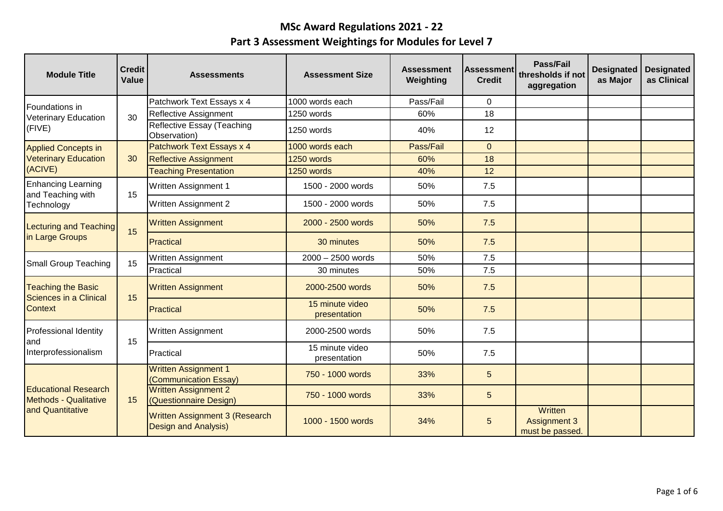| <b>Module Title</b>                                         | <b>Credit</b><br>Value | <b>Assessments</b>                                            | <b>Assessment Size</b>          | <b>Assessment</b><br>Weighting | <b>Assessment</b><br><b>Credit</b> | Pass/Fail<br>thresholds if not<br>aggregation     | <b>Designated</b><br>as Major | <b>Designated</b><br>as Clinical |
|-------------------------------------------------------------|------------------------|---------------------------------------------------------------|---------------------------------|--------------------------------|------------------------------------|---------------------------------------------------|-------------------------------|----------------------------------|
| Foundations in                                              |                        | Patchwork Text Essays x 4                                     | 1000 words each                 | Pass/Fail                      | $\Omega$                           |                                                   |                               |                                  |
| <b>Veterinary Education</b>                                 | 30                     | Reflective Assignment                                         | 1250 words                      | 60%                            | 18                                 |                                                   |                               |                                  |
| (FIVE)                                                      |                        | Reflective Essay (Teaching<br>Observation)                    | 1250 words                      | 40%                            | 12                                 |                                                   |                               |                                  |
| <b>Applied Concepts in</b>                                  |                        | Patchwork Text Essays x 4                                     | 1000 words each                 | Pass/Fail                      | $\overline{0}$                     |                                                   |                               |                                  |
| <b>Veterinary Education</b>                                 | 30                     | <b>Reflective Assignment</b>                                  | 1250 words                      | 60%                            | 18                                 |                                                   |                               |                                  |
| (ACIVE)                                                     |                        | <b>Teaching Presentation</b>                                  | 1250 words                      | 40%                            | 12                                 |                                                   |                               |                                  |
| <b>Enhancing Learning</b><br>and Teaching with              | 15                     | Written Assignment 1                                          | 1500 - 2000 words               | 50%                            | 7.5                                |                                                   |                               |                                  |
| Technology                                                  |                        | Written Assignment 2                                          | 1500 - 2000 words               | 50%                            | 7.5                                |                                                   |                               |                                  |
| Lecturing and Teaching                                      | 15                     | <b>Written Assignment</b>                                     | 2000 - 2500 words               | 50%                            | 7.5                                |                                                   |                               |                                  |
| in Large Groups                                             |                        | Practical                                                     | 30 minutes                      | 50%                            | 7.5                                |                                                   |                               |                                  |
| <b>Small Group Teaching</b>                                 | 15                     | Written Assignment                                            | $2000 - 2500$ words             | 50%                            | 7.5                                |                                                   |                               |                                  |
|                                                             |                        | Practical                                                     | 30 minutes                      | 50%                            | 7.5                                |                                                   |                               |                                  |
| <b>Teaching the Basic</b><br>Sciences in a Clinical         | 15                     | <b>Written Assignment</b>                                     | 2000-2500 words                 | 50%                            | 7.5                                |                                                   |                               |                                  |
| <b>Context</b>                                              |                        | Practical                                                     | 15 minute video<br>presentation | 50%                            | 7.5                                |                                                   |                               |                                  |
| <b>Professional Identity</b><br>land                        | 15                     | Written Assignment                                            | 2000-2500 words                 | 50%                            | 7.5                                |                                                   |                               |                                  |
| Interprofessionalism                                        |                        | Practical                                                     | 15 minute video<br>presentation | 50%                            | 7.5                                |                                                   |                               |                                  |
|                                                             |                        | <b>Written Assignment 1</b><br>(Communication Essay)          | 750 - 1000 words                | 33%                            | 5                                  |                                                   |                               |                                  |
| <b>Educational Research</b><br><b>Methods - Qualitative</b> | 15                     | <b>Written Assignment 2</b><br>(Questionnaire Design)         | 750 - 1000 words                | 33%                            | 5                                  |                                                   |                               |                                  |
| and Quantitative                                            |                        | Written Assignment 3 (Research<br><b>Design and Analysis)</b> | 1000 - 1500 words               | 34%                            | 5                                  | Written<br><b>Assignment 3</b><br>must be passed. |                               |                                  |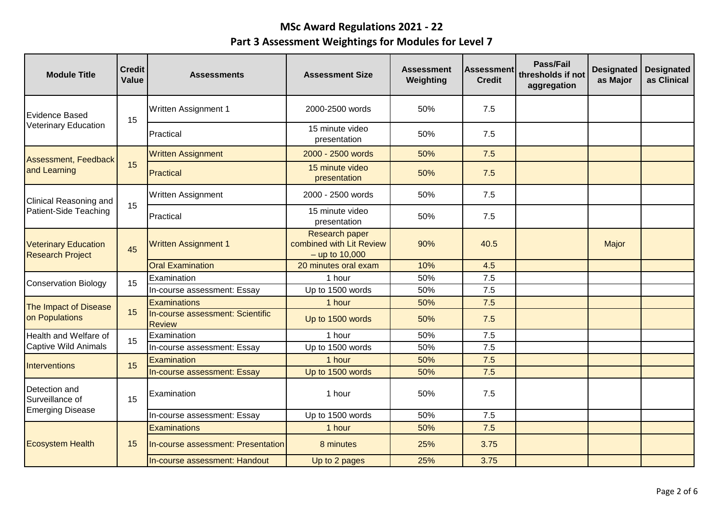| <b>Module Title</b>                                    | <b>Credit</b><br>Value | <b>Assessments</b>                                | <b>Assessment Size</b>                                                | <b>Assessment</b><br>Weighting | Assessment<br><b>Credit</b> | Pass/Fail<br>thresholds if not<br>aggregation | <b>Designated</b><br>as Major | <b>Designated</b><br>as Clinical |
|--------------------------------------------------------|------------------------|---------------------------------------------------|-----------------------------------------------------------------------|--------------------------------|-----------------------------|-----------------------------------------------|-------------------------------|----------------------------------|
| Evidence Based                                         | 15                     | <b>Written Assignment 1</b>                       | 2000-2500 words                                                       | 50%                            | 7.5                         |                                               |                               |                                  |
| <b>Veterinary Education</b>                            |                        | Practical                                         | 15 minute video<br>presentation                                       | 50%                            | 7.5                         |                                               |                               |                                  |
| Assessment, Feedback                                   |                        | <b>Written Assignment</b>                         | 2000 - 2500 words                                                     | 50%                            | 7.5                         |                                               |                               |                                  |
| and Learning                                           | 15                     | Practical                                         | 15 minute video<br>presentation                                       | 50%                            | 7.5                         |                                               |                               |                                  |
| Clinical Reasoning and                                 | 15                     | Written Assignment                                | 2000 - 2500 words                                                     | 50%                            | 7.5                         |                                               |                               |                                  |
| Patient-Side Teaching                                  |                        | Practical                                         | 15 minute video<br>presentation                                       | 50%                            | 7.5                         |                                               |                               |                                  |
| <b>Veterinary Education</b><br><b>Research Project</b> | 45                     | <b>Written Assignment 1</b>                       | <b>Research paper</b><br>combined with Lit Review<br>$-$ up to 10,000 | 90%                            | 40.5                        |                                               | Major                         |                                  |
|                                                        |                        | <b>Oral Examination</b>                           | 20 minutes oral exam                                                  | 10%                            | 4.5                         |                                               |                               |                                  |
| <b>Conservation Biology</b>                            | 15                     | Examination                                       | 1 hour                                                                | 50%                            | 7.5                         |                                               |                               |                                  |
|                                                        |                        | In-course assessment: Essay                       | Up to 1500 words                                                      | 50%                            | 7.5                         |                                               |                               |                                  |
| The Impact of Disease                                  | 15                     | Examinations                                      | 1 hour                                                                | 50%                            | 7.5                         |                                               |                               |                                  |
| on Populations                                         |                        | In-course assessment: Scientific<br><b>Review</b> | Up to 1500 words                                                      | 50%                            | 7.5                         |                                               |                               |                                  |
| Health and Welfare of                                  | 15                     | Examination                                       | 1 hour                                                                | 50%                            | 7.5                         |                                               |                               |                                  |
| Captive Wild Animals                                   |                        | In-course assessment: Essay                       | Up to 1500 words                                                      | 50%                            | 7.5                         |                                               |                               |                                  |
| <b>Interventions</b>                                   | 15                     | Examination                                       | 1 hour                                                                | 50%                            | 7.5                         |                                               |                               |                                  |
|                                                        |                        | In-course assessment: Essay                       | Up to 1500 words                                                      | 50%                            | 7.5                         |                                               |                               |                                  |
| Detection and<br>Surveillance of                       | 15                     | Examination                                       | 1 hour                                                                | 50%                            | 7.5                         |                                               |                               |                                  |
| <b>Emerging Disease</b>                                |                        | In-course assessment: Essay                       | Up to 1500 words                                                      | 50%                            | 7.5                         |                                               |                               |                                  |
|                                                        |                        | Examinations                                      | 1 hour                                                                | 50%                            | 7.5                         |                                               |                               |                                  |
| <b>Ecosystem Health</b>                                | 15                     | In-course assessment: Presentation                | 8 minutes                                                             | 25%                            | 3.75                        |                                               |                               |                                  |
|                                                        |                        | In-course assessment: Handout                     | Up to 2 pages                                                         | 25%                            | 3.75                        |                                               |                               |                                  |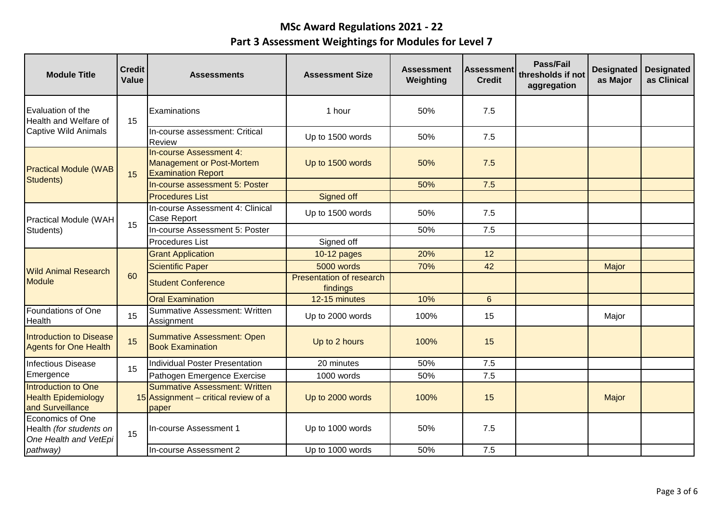| <b>Module Title</b>                                                   | <b>Credit</b><br>Value | <b>Assessments</b>                                                                       | <b>Assessment Size</b>                      | <b>Assessment</b><br>Weighting | lAssessment<br><b>Credit</b> | <b>Pass/Fail</b><br>thresholds if not<br>aggregation | <b>Designated</b><br>as Major | <b>Designated</b><br>as Clinical |
|-----------------------------------------------------------------------|------------------------|------------------------------------------------------------------------------------------|---------------------------------------------|--------------------------------|------------------------------|------------------------------------------------------|-------------------------------|----------------------------------|
| <b>Evaluation of the</b><br><b>Health and Welfare of</b>              | 15                     | Examinations                                                                             | 1 hour                                      | 50%                            | 7.5                          |                                                      |                               |                                  |
| Captive Wild Animals                                                  |                        | In-course assessment: Critical<br><b>Review</b>                                          | Up to 1500 words                            | 50%                            | 7.5                          |                                                      |                               |                                  |
| <b>Practical Module (WAB</b>                                          | 15                     | In-course Assessment 4:<br><b>Management or Post-Mortem</b><br><b>Examination Report</b> | Up to 1500 words                            | 50%                            | 7.5                          |                                                      |                               |                                  |
| Students)                                                             |                        | In-course assessment 5: Poster                                                           |                                             | 50%                            | 7.5                          |                                                      |                               |                                  |
|                                                                       |                        | <b>Procedures List</b>                                                                   | Signed off                                  |                                |                              |                                                      |                               |                                  |
| <b>Practical Module (WAH</b><br>Students)                             |                        | In-course Assessment 4: Clinical<br>Case Report                                          | Up to 1500 words                            | 50%                            | 7.5                          |                                                      |                               |                                  |
|                                                                       | 15                     | In-course Assessment 5: Poster                                                           |                                             | 50%                            | 7.5                          |                                                      |                               |                                  |
|                                                                       |                        | <b>Procedures List</b>                                                                   | Signed off                                  |                                |                              |                                                      |                               |                                  |
|                                                                       | 60                     | <b>Grant Application</b>                                                                 | 10-12 pages                                 | 20%                            | 12                           |                                                      |                               |                                  |
| <b>Wild Animal Research</b>                                           |                        | <b>Scientific Paper</b>                                                                  | 5000 words                                  | 70%                            | 42                           |                                                      | Major                         |                                  |
| <b>Module</b>                                                         |                        | <b>Student Conference</b>                                                                | <b>Presentation of research</b><br>findings |                                |                              |                                                      |                               |                                  |
|                                                                       |                        | <b>Oral Examination</b>                                                                  | 12-15 minutes                               | 10%                            | $6\overline{6}$              |                                                      |                               |                                  |
| Foundations of One<br>Health                                          | 15                     | Summative Assessment: Written<br>Assignment                                              | Up to 2000 words                            | 100%                           | 15                           |                                                      | Major                         |                                  |
| Introduction to Disease<br><b>Agents for One Health</b>               | 15                     | <b>Summative Assessment: Open</b><br><b>Book Examination</b>                             | Up to 2 hours                               | 100%                           | 15                           |                                                      |                               |                                  |
| Infectious Disease                                                    | 15                     | Individual Poster Presentation                                                           | 20 minutes                                  | 50%                            | 7.5                          |                                                      |                               |                                  |
| Emergence                                                             |                        | Pathogen Emergence Exercise                                                              | 1000 words                                  | 50%                            | 7.5                          |                                                      |                               |                                  |
| Introduction to One<br><b>Health Epidemiology</b><br>and Surveillance |                        | Summative Assessment: Written<br>15 Assignment – critical review of a<br>paper           | Up to 2000 words                            | 100%                           | 15                           |                                                      | Major                         |                                  |
| Economics of One<br>Health (for students on<br>One Health and VetEpi  | 15                     | In-course Assessment 1                                                                   | Up to 1000 words                            | 50%                            | 7.5                          |                                                      |                               |                                  |
| pathway)                                                              |                        | In-course Assessment 2                                                                   | Up to 1000 words                            | 50%                            | 7.5                          |                                                      |                               |                                  |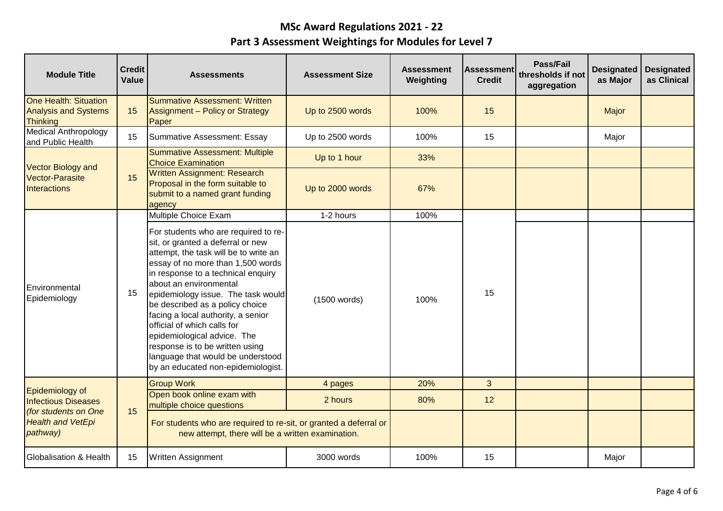| <b>Module Title</b>                                                            | <b>Credit</b><br>Value | <b>Assessments</b>                                                                                                                                                                                                                                                                                                                                                                                                                                                                                                 | <b>Assessment Size</b> | <b>Assessment</b><br>Weighting | <b>Assessment</b><br><b>Credit</b> | <b>Pass/Fail</b><br>thresholds if not<br>aggregation | <b>Designated</b><br>as Major | <b>Designated</b><br>as Clinical |
|--------------------------------------------------------------------------------|------------------------|--------------------------------------------------------------------------------------------------------------------------------------------------------------------------------------------------------------------------------------------------------------------------------------------------------------------------------------------------------------------------------------------------------------------------------------------------------------------------------------------------------------------|------------------------|--------------------------------|------------------------------------|------------------------------------------------------|-------------------------------|----------------------------------|
| <b>One Health: Situation</b><br><b>Analysis and Systems</b><br><b>Thinking</b> | 15                     | <b>Summative Assessment: Written</b><br><b>Assignment - Policy or Strategy</b><br>Paper                                                                                                                                                                                                                                                                                                                                                                                                                            | Up to 2500 words       | 100%                           | 15                                 |                                                      | Major                         |                                  |
| <b>Medical Anthropology</b><br>and Public Health                               | 15                     | Summative Assessment: Essay                                                                                                                                                                                                                                                                                                                                                                                                                                                                                        | Up to 2500 words       | 100%                           | 15                                 |                                                      | Major                         |                                  |
| <b>Vector Biology and</b>                                                      |                        | <b>Summative Assessment: Multiple</b><br><b>Choice Examination</b>                                                                                                                                                                                                                                                                                                                                                                                                                                                 | Up to 1 hour           | 33%                            |                                    |                                                      |                               |                                  |
| <b>Vector-Parasite</b><br><b>Interactions</b>                                  | 15                     | <b>Written Assignment: Research</b><br>Proposal in the form suitable to<br>submit to a named grant funding<br>agency                                                                                                                                                                                                                                                                                                                                                                                               | Up to 2000 words       | 67%                            |                                    |                                                      |                               |                                  |
|                                                                                |                        | Multiple Choice Exam                                                                                                                                                                                                                                                                                                                                                                                                                                                                                               | 1-2 hours              | 100%                           |                                    |                                                      |                               |                                  |
| Environmental<br>Epidemiology                                                  | 15                     | For students who are required to re-<br>sit, or granted a deferral or new<br>attempt, the task will be to write an<br>essay of no more than 1,500 words<br>in response to a technical enquiry<br>about an environmental<br>epidemiology issue. The task would<br>be described as a policy choice<br>facing a local authority, a senior<br>official of which calls for<br>epidemiological advice. The<br>response is to be written using<br>language that would be understood<br>by an educated non-epidemiologist. | (1500 words)           | 100%                           | 15                                 |                                                      |                               |                                  |
|                                                                                |                        | <b>Group Work</b>                                                                                                                                                                                                                                                                                                                                                                                                                                                                                                  | 4 pages                | 20%                            | 3                                  |                                                      |                               |                                  |
| Epidemiology of<br><b>Infectious Diseases</b>                                  | 15                     | Open book online exam with<br>multiple choice questions                                                                                                                                                                                                                                                                                                                                                                                                                                                            | 2 hours                | 80%                            | 12                                 |                                                      |                               |                                  |
| (for students on One<br><b>Health and VetEpi</b><br>pathway)                   |                        | For students who are required to re-sit, or granted a deferral or<br>new attempt, there will be a written examination.                                                                                                                                                                                                                                                                                                                                                                                             |                        |                                |                                    |                                                      |                               |                                  |
| Globalisation & Health                                                         | 15                     | <b>Written Assignment</b>                                                                                                                                                                                                                                                                                                                                                                                                                                                                                          | 3000 words             | 100%                           | 15                                 |                                                      | Major                         |                                  |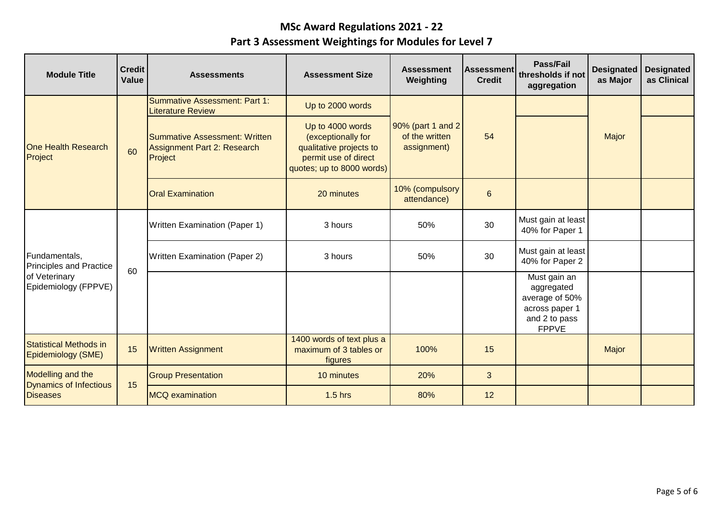| <b>Module Title</b>                                 | <b>Credit</b><br>Value | <b>Assessments</b>                                                             | <b>Assessment Size</b>                                                                                                 | <b>Assessment</b><br>Weighting                     | <b>Assessment</b><br><b>Credit</b> | <b>Pass/Fail</b><br>thresholds if not<br>aggregation                                            | <b>Designated</b><br>as Major | <b>Designated</b><br>as Clinical |
|-----------------------------------------------------|------------------------|--------------------------------------------------------------------------------|------------------------------------------------------------------------------------------------------------------------|----------------------------------------------------|------------------------------------|-------------------------------------------------------------------------------------------------|-------------------------------|----------------------------------|
| <b>One Health Research</b><br>Project               | 60                     | <b>Summative Assessment: Part 1:</b><br><b>Literature Review</b>               | Up to 2000 words                                                                                                       | 90% (part 1 and 2<br>of the written<br>assignment) |                                    |                                                                                                 |                               |                                  |
|                                                     |                        | <b>Summative Assessment: Written</b><br>Assignment Part 2: Research<br>Project | Up to 4000 words<br>(exceptionally for<br>qualitative projects to<br>permit use of direct<br>quotes; up to 8000 words) |                                                    | 54                                 |                                                                                                 | Major                         |                                  |
|                                                     |                        | <b>Oral Examination</b>                                                        | 20 minutes                                                                                                             | 10% (compulsory<br>attendance)                     | $6\phantom{1}$                     |                                                                                                 |                               |                                  |
|                                                     | 60                     | <b>Written Examination (Paper 1)</b>                                           | 3 hours                                                                                                                | 50%                                                | 30                                 | Must gain at least<br>40% for Paper 1                                                           |                               |                                  |
| Fundamentals,<br><b>Principles and Practice</b>     |                        | <b>Written Examination (Paper 2)</b>                                           | 3 hours                                                                                                                | 50%                                                | 30                                 | Must gain at least<br>40% for Paper 2                                                           |                               |                                  |
| of Veterinary<br>Epidemiology (FPPVE)               |                        |                                                                                |                                                                                                                        |                                                    |                                    | Must gain an<br>aggregated<br>average of 50%<br>across paper 1<br>and 2 to pass<br><b>FPPVE</b> |                               |                                  |
| <b>Statistical Methods in</b><br>Epidemiology (SME) | 15                     | <b>Written Assignment</b>                                                      | 1400 words of text plus a<br>maximum of 3 tables or<br>figures                                                         | 100%                                               | 15                                 |                                                                                                 | Major                         |                                  |
| Modelling and the<br><b>Dynamics of Infectious</b>  | 15                     | <b>Group Presentation</b>                                                      | 10 minutes                                                                                                             | 20%                                                | 3                                  |                                                                                                 |                               |                                  |
| <b>Diseases</b>                                     |                        | <b>MCQ</b> examination                                                         | $1.5$ hrs                                                                                                              | 80%                                                | 12                                 |                                                                                                 |                               |                                  |